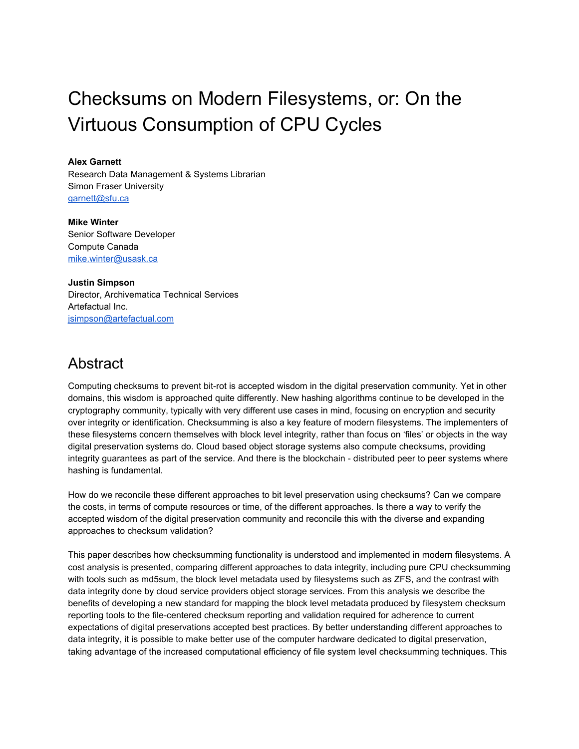# Checksums on Modern Filesystems, or: On the Virtuous Consumption of CPU Cycles

**Alex Garnett**

Research Data Management & Systems Librarian Simon Fraser University [garnett@sfu.ca](mailto:garnett@sfu.ca)

**Mike Winter** Senior Software Developer Compute Canada [mike.winter@usask.ca](mailto:mike.winter@usask.ca)

**Justin Simpson** Director, Archivematica Technical Services Artefactual Inc. [jsimpson@artefactual.com](mailto:jsimpson@artefactual.com)

# **Abstract**

Computing checksums to prevent bit-rot is accepted wisdom in the digital preservation community. Yet in other domains, this wisdom is approached quite differently. New hashing algorithms continue to be developed in the cryptography community, typically with very different use cases in mind, focusing on encryption and security over integrity or identification. Checksumming is also a key feature of modern filesystems. The implementers of these filesystems concern themselves with block level integrity, rather than focus on 'files' or objects in the way digital preservation systems do. Cloud based object storage systems also compute checksums, providing integrity guarantees as part of the service. And there is the blockchain - distributed peer to peer systems where hashing is fundamental.

How do we reconcile these different approaches to bit level preservation using checksums? Can we compare the costs, in terms of compute resources or time, of the different approaches. Is there a way to verify the accepted wisdom of the digital preservation community and reconcile this with the diverse and expanding approaches to checksum validation?

This paper describes how checksumming functionality is understood and implemented in modern filesystems. A cost analysis is presented, comparing different approaches to data integrity, including pure CPU checksumming with tools such as md5sum, the block level metadata used by filesystems such as ZFS, and the contrast with data integrity done by cloud service providers object storage services. From this analysis we describe the benefits of developing a new standard for mapping the block level metadata produced by filesystem checksum reporting tools to the file-centered checksum reporting and validation required for adherence to current expectations of digital preservations accepted best practices. By better understanding different approaches to data integrity, it is possible to make better use of the computer hardware dedicated to digital preservation, taking advantage of the increased computational efficiency of file system level checksumming techniques. This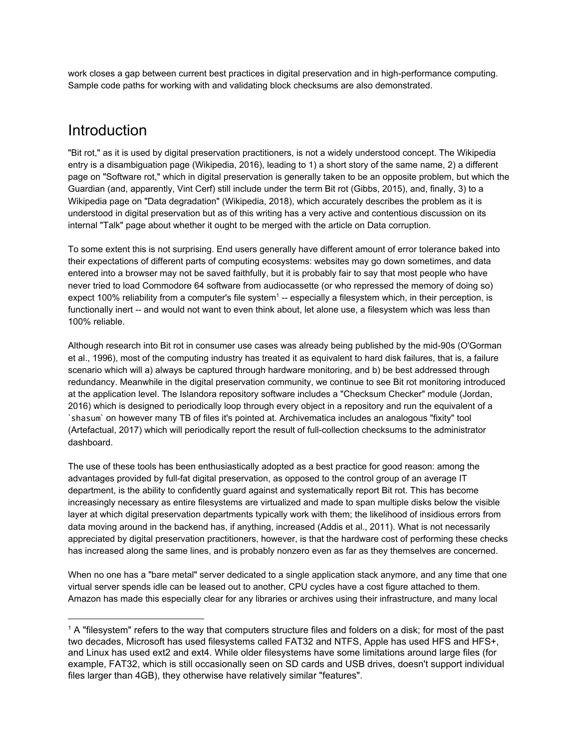work closes a gap between current best practices in digital preservation and in high-performance computing. Sample code paths for working with and validating block checksums are also demonstrated.

#### Introduction

"Bit rot," as it is used by digital preservation practitioners, is not a widely understood concept. The Wikipedia entry is a disambiguation page (Wikipedia, 2016), leading to 1) a short story of the same name, 2) a different page on "Software rot," which in digital preservation is generally taken to be an opposite problem, but which the Guardian (and, apparently, Vint Cerf) still include under the term Bit rot (Gibbs, 2015), and, finally, 3) to a Wikipedia page on "Data degradation" (Wikipedia, 2018), which accurately describes the problem as it is understood in digital preservation but as of this writing has a very active and contentious discussion on its internal "Talk" page about whether it ought to be merged with the article on Data corruption.

To some extent this is not surprising. End users generally have different amount of error tolerance baked into their expectations of different parts of computing ecosystems: websites may go down sometimes, and data entered into a browser may not be saved faithfully, but it is probably fair to say that most people who have never tried to load Commodore 64 software from audiocassette (or who repressed the memory of doing so) expect 100% reliability from a computer's file system<sup>1</sup> -- especially a filesystem which, in their perception, is functionally inert -- and would not want to even think about, let alone use, a filesystem which was less than 100% reliable.

Although research into Bit rot in consumer use cases was already being published by the mid-90s (O'Gorman et al., 1996), most of the computing industry has treated it as equivalent to hard disk failures, that is, a failure scenario which will a) always be captured through hardware monitoring, and b) be best addressed through redundancy. Meanwhile in the digital preservation community, we continue to see Bit rot monitoring introduced at the application level. The Islandora repository software includes a "Checksum Checker" module (Jordan, 2016) which is designed to periodically loop through every object in a repository and run the equivalent of a `shasum` on however many TB of files it's pointed at. Archivematica includes an analogous "fixity" tool (Artefactual, 2017) which will periodically report the result of full-collection checksums to the administrator dashboard.

The use of these tools has been enthusiastically adopted as a best practice for good reason: among the advantages provided by full-fat digital preservation, as opposed to the control group of an average IT department, is the ability to confidently guard against and systematically report Bit rot. This has become increasingly necessary as entire filesystems are virtualized and made to span multiple disks below the visible layer at which digital preservation departments typically work with them; the likelihood of insidious errors from data moving around in the backend has, if anything, increased (Addis et al., 2011). What is not necessarily appreciated by digital preservation practitioners, however, is that the hardware cost of performing these checks has increased along the same lines, and is probably nonzero even as far as they themselves are concerned.

When no one has a "bare metal" server dedicated to a single application stack anymore, and any time that one virtual server spends idle can be leased out to another, CPU cycles have a cost figure attached to them. Amazon has made this especially clear for any libraries or archives using their infrastructure, and many local

<sup>&</sup>lt;sup>1</sup> A "filesystem" refers to the way that computers structure files and folders on a disk; for most of the past two decades, Microsoft has used filesystems called FAT32 and NTFS, Apple has used HFS and HFS+, and Linux has used ext2 and ext4. While older filesystems have some limitations around large files (for example, FAT32, which is still occasionally seen on SD cards and USB drives, doesn't support individual files larger than 4GB), they otherwise have relatively similar "features".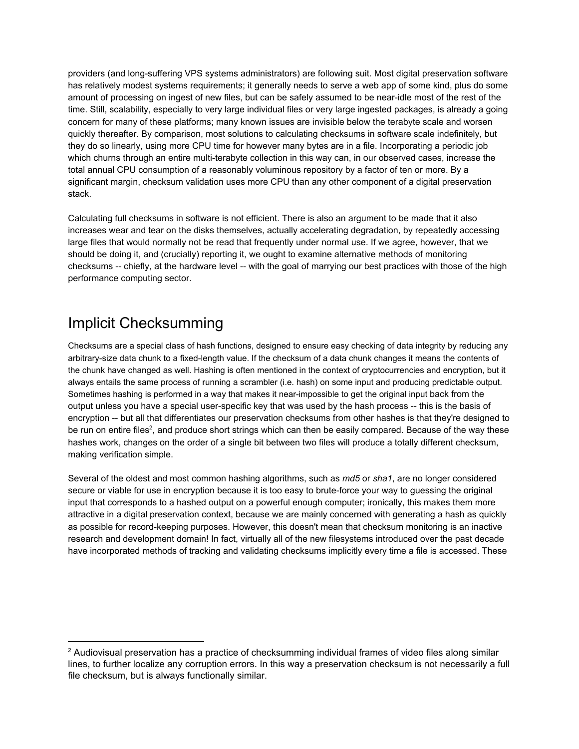providers (and long-suffering VPS systems administrators) are following suit. Most digital preservation software has relatively modest systems requirements; it generally needs to serve a web app of some kind, plus do some amount of processing on ingest of new files, but can be safely assumed to be near-idle most of the rest of the time. Still, scalability, especially to very large individual files or very large ingested packages, is already a going concern for many of these platforms; many known issues are invisible below the terabyte scale and worsen quickly thereafter. By comparison, most solutions to calculating checksums in software scale indefinitely, but they do so linearly, using more CPU time for however many bytes are in a file. Incorporating a periodic job which churns through an entire multi-terabyte collection in this way can, in our observed cases, increase the total annual CPU consumption of a reasonably voluminous repository by a factor of ten or more. By a significant margin, checksum validation uses more CPU than any other component of a digital preservation stack.

Calculating full checksums in software is not efficient. There is also an argument to be made that it also increases wear and tear on the disks themselves, actually accelerating degradation, by repeatedly accessing large files that would normally not be read that frequently under normal use. If we agree, however, that we should be doing it, and (crucially) reporting it, we ought to examine alternative methods of monitoring checksums -- chiefly, at the hardware level -- with the goal of marrying our best practices with those of the high performance computing sector.

#### Implicit Checksumming

Checksums are a special class of hash functions, designed to ensure easy checking of data integrity by reducing any arbitrary-size data chunk to a fixed-length value. If the checksum of a data chunk changes it means the contents of the chunk have changed as well. Hashing is often mentioned in the context of cryptocurrencies and encryption, but it always entails the same process of running a scrambler (i.e. hash) on some input and producing predictable output. Sometimes hashing is performed in a way that makes it near-impossible to get the original input back from the output unless you have a special user-specific key that was used by the hash process -- this is the basis of encryption -- but all that differentiates our preservation checksums from other hashes is that they're designed to be run on entire files<sup>2</sup>, and produce short strings which can then be easily compared. Because of the way these hashes work, changes on the order of a single bit between two files will produce a totally different checksum, making verification simple.

Several of the oldest and most common hashing algorithms, such as *md5* or *sha1*, are no longer considered secure or viable for use in encryption because it is too easy to brute-force your way to guessing the original input that corresponds to a hashed output on a powerful enough computer; ironically, this makes them more attractive in a digital preservation context, because we are mainly concerned with generating a hash as quickly as possible for record-keeping purposes. However, this doesn't mean that checksum monitoring is an inactive research and development domain! In fact, virtually all of the new filesystems introduced over the past decade have incorporated methods of tracking and validating checksums implicitly every time a file is accessed. These

<sup>&</sup>lt;sup>2</sup> Audiovisual preservation has a practice of checksumming individual frames of video files along similar lines, to further localize any corruption errors. In this way a preservation checksum is not necessarily a full file checksum, but is always functionally similar.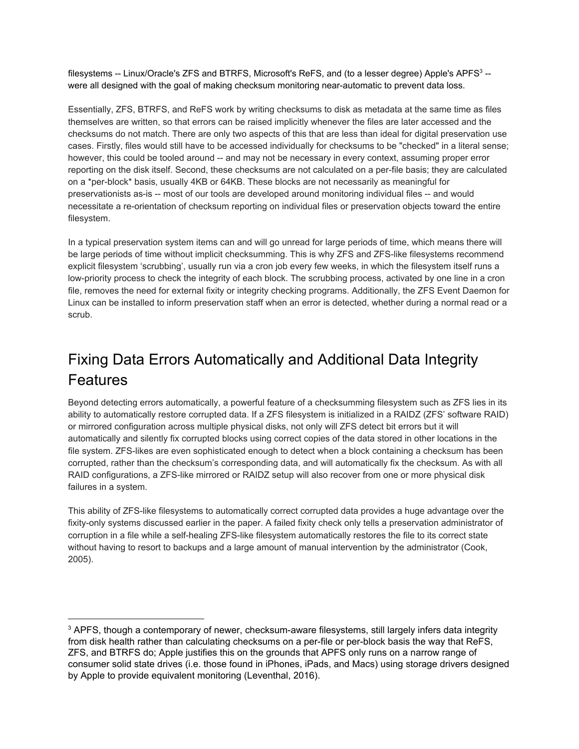filesystems -- Linux/Oracle's ZFS and BTRFS, Microsoft's ReFS, and (to a lesser degree) Apple's APFS $^3$  -were all designed with the goal of making checksum monitoring near-automatic to prevent data loss.

Essentially, ZFS, BTRFS, and ReFS work by writing checksums to disk as metadata at the same time as files themselves are written, so that errors can be raised implicitly whenever the files are later accessed and the checksums do not match. There are only two aspects of this that are less than ideal for digital preservation use cases. Firstly, files would still have to be accessed individually for checksums to be "checked" in a literal sense; however, this could be tooled around -- and may not be necessary in every context, assuming proper error reporting on the disk itself. Second, these checksums are not calculated on a per-file basis; they are calculated on a \*per-block\* basis, usually 4KB or 64KB. These blocks are not necessarily as meaningful for preservationists as-is -- most of our tools are developed around monitoring individual files -- and would necessitate a re-orientation of checksum reporting on individual files or preservation objects toward the entire filesystem.

In a typical preservation system items can and will go unread for large periods of time, which means there will be large periods of time without implicit checksumming. This is why ZFS and ZFS-like filesystems recommend explicit filesystem 'scrubbing', usually run via a cron job every few weeks, in which the filesystem itself runs a low-priority process to check the integrity of each block. The scrubbing process, activated by one line in a cron file, removes the need for external fixity or integrity checking programs. Additionally, the ZFS Event Daemon for Linux can be installed to inform preservation staff when an error is detected, whether during a normal read or a scrub.

# Fixing Data Errors Automatically and Additional Data Integrity Features

Beyond detecting errors automatically, a powerful feature of a checksumming filesystem such as ZFS lies in its ability to automatically restore corrupted data. If a ZFS filesystem is initialized in a RAIDZ (ZFS' software RAID) or mirrored configuration across multiple physical disks, not only will ZFS detect bit errors but it will automatically and silently fix corrupted blocks using correct copies of the data stored in other locations in the file system. ZFS-likes are even sophisticated enough to detect when a block containing a checksum has been corrupted, rather than the checksum's corresponding data, and will automatically fix the checksum. As with all RAID configurations, a ZFS-like mirrored or RAIDZ setup will also recover from one or more physical disk failures in a system.

This ability of ZFS-like filesystems to automatically correct corrupted data provides a huge advantage over the fixity-only systems discussed earlier in the paper. A failed fixity check only tells a preservation administrator of corruption in a file while a self-healing ZFS-like filesystem automatically restores the file to its correct state without having to resort to backups and a large amount of manual intervention by the administrator (Cook, 2005).

<sup>&</sup>lt;sup>3</sup> APFS, though a contemporary of newer, checksum-aware filesystems, still largely infers data integrity from disk health rather than calculating checksums on a per-file or per-block basis the way that ReFS, ZFS, and BTRFS do; Apple justifies this on the grounds that APFS only runs on a narrow range of consumer solid state drives (i.e. those found in iPhones, iPads, and Macs) using storage drivers designed by Apple to provide equivalent monitoring (Leventhal, 2016).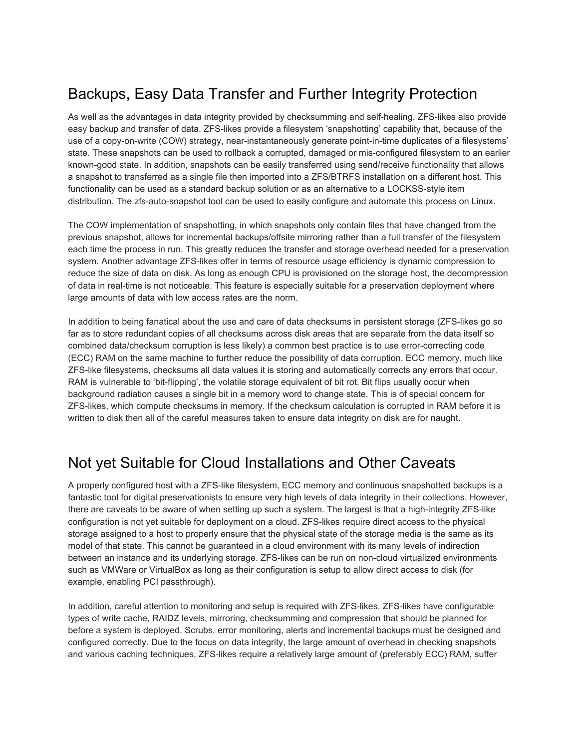# Backups, Easy Data Transfer and Further Integrity Protection

As well as the advantages in data integrity provided by checksumming and self-healing, ZFS-likes also provide easy backup and transfer of data. ZFS-likes provide a filesystem 'snapshotting' capability that, because of the use of a copy-on-write (COW) strategy, near-instantaneously generate point-in-time duplicates of a filesystems' state. These snapshots can be used to rollback a corrupted, damaged or mis-configured filesystem to an earlier known-good state. In addition, snapshots can be easily transferred using send/receive functionality that allows a snapshot to transferred as a single file then imported into a ZFS/BTRFS installation on a different host. This functionality can be used as a standard backup solution or as an alternative to a LOCKSS-style item distribution. The zfs-auto-snapshot tool can be used to easily configure and automate this process on Linux.

The COW implementation of snapshotting, in which snapshots only contain files that have changed from the previous snapshot, allows for incremental backups/offsite mirroring rather than a full transfer of the filesystem each time the process in run. This greatly reduces the transfer and storage overhead needed for a preservation system. Another advantage ZFS-likes offer in terms of resource usage efficiency is dynamic compression to reduce the size of data on disk. As long as enough CPU is provisioned on the storage host, the decompression of data in real-time is not noticeable. This feature is especially suitable for a preservation deployment where large amounts of data with low access rates are the norm.

In addition to being fanatical about the use and care of data checksums in persistent storage (ZFS-likes go so far as to store redundant copies of all checksums across disk areas that are separate from the data itself so combined data/checksum corruption is less likely) a common best practice is to use error-correcting code (ECC) RAM on the same machine to further reduce the possibility of data corruption. ECC memory, much like ZFS-like filesystems, checksums all data values it is storing and automatically corrects any errors that occur. RAM is vulnerable to 'bit-flipping', the volatile storage equivalent of bit rot. Bit flips usually occur when background radiation causes a single bit in a memory word to change state. This is of special concern for ZFS-likes, which compute checksums in memory. If the checksum calculation is corrupted in RAM before it is written to disk then all of the careful measures taken to ensure data integrity on disk are for naught.

#### Not yet Suitable for Cloud Installations and Other Caveats

A properly configured host with a ZFS-like filesystem, ECC memory and continuous snapshotted backups is a fantastic tool for digital preservationists to ensure very high levels of data integrity in their collections. However, there are caveats to be aware of when setting up such a system. The largest is that a high-integrity ZFS-like configuration is not yet suitable for deployment on a cloud. ZFS-likes require direct access to the physical storage assigned to a host to properly ensure that the physical state of the storage media is the same as its model of that state. This cannot be guaranteed in a cloud environment with its many levels of indirection between an instance and its underlying storage. ZFS-likes can be run on non-cloud virtualized environments such as VMWare or VirtualBox as long as their configuration is setup to allow direct access to disk (for example, enabling PCI passthrough).

In addition, careful attention to monitoring and setup is required with ZFS-likes. ZFS-likes have configurable types of write cache, RAIDZ levels, mirroring, checksumming and compression that should be planned for before a system is deployed. Scrubs, error monitoring, alerts and incremental backups must be designed and configured correctly. Due to the focus on data integrity, the large amount of overhead in checking snapshots and various caching techniques, ZFS-likes require a relatively large amount of (preferably ECC) RAM, suffer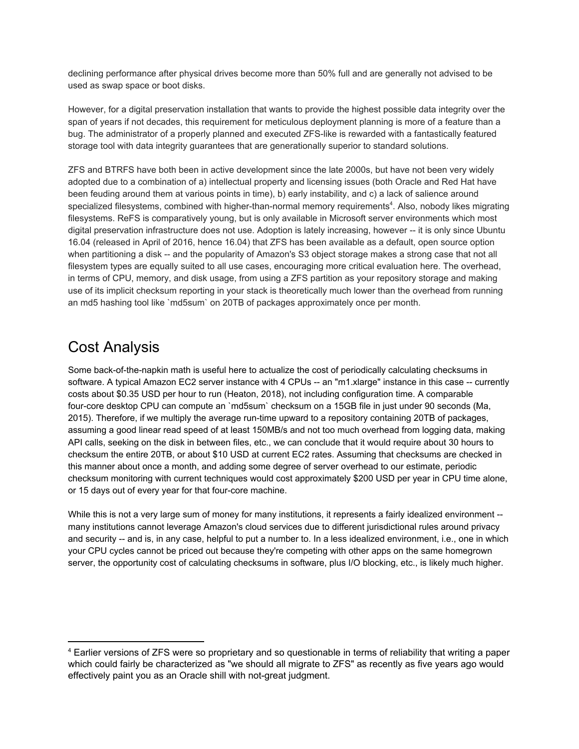declining performance after physical drives become more than 50% full and are generally not advised to be used as swap space or boot disks.

However, for a digital preservation installation that wants to provide the highest possible data integrity over the span of years if not decades, this requirement for meticulous deployment planning is more of a feature than a bug. The administrator of a properly planned and executed ZFS-like is rewarded with a fantastically featured storage tool with data integrity guarantees that are generationally superior to standard solutions.

ZFS and BTRFS have both been in active development since the late 2000s, but have not been very widely adopted due to a combination of a) intellectual property and licensing issues (both Oracle and Red Hat have been feuding around them at various points in time), b) early instability, and c) a lack of salience around specialized filesystems, combined with higher-than-normal memory requirements<sup>4</sup>. Also, nobody likes migrating filesystems. ReFS is comparatively young, but is only available in Microsoft server environments which most digital preservation infrastructure does not use. Adoption is lately increasing, however -- it is only since Ubuntu 16.04 (released in April of 2016, hence 16.04) that ZFS has been available as a default, open source option when partitioning a disk -- and the popularity of Amazon's S3 object storage makes a strong case that not all filesystem types are equally suited to all use cases, encouraging more critical evaluation here. The overhead, in terms of CPU, memory, and disk usage, from using a ZFS partition as your repository storage and making use of its implicit checksum reporting in your stack is theoretically much lower than the overhead from running an md5 hashing tool like `md5sum` on 20TB of packages approximately once per month.

#### Cost Analysis

Some back-of-the-napkin math is useful here to actualize the cost of periodically calculating checksums in software. A typical Amazon EC2 server instance with 4 CPUs -- an "m1.xlarge" instance in this case -- currently costs about \$0.35 USD per hour to run (Heaton, 2018), not including configuration time. A comparable four-core desktop CPU can compute an `md5sum` checksum on a 15GB file in just under 90 seconds (Ma, 2015). Therefore, if we multiply the average run-time upward to a repository containing 20TB of packages, assuming a good linear read speed of at least 150MB/s and not too much overhead from logging data, making API calls, seeking on the disk in between files, etc., we can conclude that it would require about 30 hours to checksum the entire 20TB, or about \$10 USD at current EC2 rates. Assuming that checksums are checked in this manner about once a month, and adding some degree of server overhead to our estimate, periodic checksum monitoring with current techniques would cost approximately \$200 USD per year in CPU time alone, or 15 days out of every year for that four-core machine.

While this is not a very large sum of money for many institutions, it represents a fairly idealized environment -many institutions cannot leverage Amazon's cloud services due to different jurisdictional rules around privacy and security -- and is, in any case, helpful to put a number to. In a less idealized environment, i.e., one in which your CPU cycles cannot be priced out because they're competing with other apps on the same homegrown server, the opportunity cost of calculating checksums in software, plus I/O blocking, etc., is likely much higher.

<sup>4</sup> Earlier versions of ZFS were so proprietary and so questionable in terms of reliability that writing a paper which could fairly be characterized as "we should all migrate to ZFS" as recently as five years ago would effectively paint you as an Oracle shill with not-great judgment.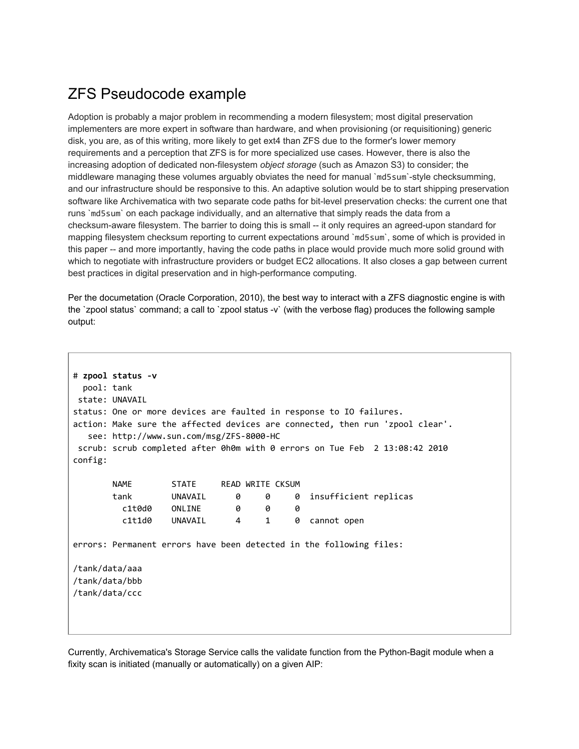### ZFS Pseudocode example

Adoption is probably a major problem in recommending a modern filesystem; most digital preservation implementers are more expert in software than hardware, and when provisioning (or requisitioning) generic disk, you are, as of this writing, more likely to get ext4 than ZFS due to the former's lower memory requirements and a perception that ZFS is for more specialized use cases. However, there is also the increasing adoption of dedicated non-filesystem *object storage* (such as Amazon S3) to consider; the middleware managing these volumes arguably obviates the need for manual `md5sum`-style checksumming, and our infrastructure should be responsive to this. An adaptive solution would be to start shipping preservation software like Archivematica with two separate code paths for bit-level preservation checks: the current one that runs `md5sum` on each package individually, and an alternative that simply reads the data from a checksum-aware filesystem. The barrier to doing this is small -- it only requires an agreed-upon standard for mapping filesystem checksum reporting to current expectations around `md5sum`, some of which is provided in this paper -- and more importantly, having the code paths in place would provide much more solid ground with which to negotiate with infrastructure providers or budget EC2 allocations. It also closes a gap between current best practices in digital preservation and in high-performance computing.

Per the documetation (Oracle Corporation, 2010), the best way to interact with a ZFS diagnostic engine is with the `zpool status` command; a call to `zpool status -v` (with the verbose flag) produces the following sample output:

| pool: tank<br>config:                              | # zpool status -v<br>state: UNAVAIL<br>status: One or more devices are faulted in response to IO failures.<br>action: Make sure the affected devices are connected, then run 'zpool clear'.<br>see: http://www.sun.com/msg/ZFS-8000-HC<br>scrub: scrub completed after 0h0m with 0 errors on Tue Feb 2 13:08:42 2010 |                                   |  |                                     |        |                                                                     |  |
|----------------------------------------------------|----------------------------------------------------------------------------------------------------------------------------------------------------------------------------------------------------------------------------------------------------------------------------------------------------------------------|-----------------------------------|--|-------------------------------------|--------|---------------------------------------------------------------------|--|
|                                                    | <b>NAME</b><br>tank                                                                                                                                                                                                                                                                                                  | STATE READ WRITE CKSUM<br>UNAVAIL |  | 0<br>0                              |        | 0 insufficient replicas                                             |  |
|                                                    | c1t0d0<br>c1t1d0                                                                                                                                                                                                                                                                                                     | ONLINE<br>UNAVAIL                 |  | ø<br>0<br>$\mathbf{1}$<br>$4 \quad$ | 0<br>0 | cannot open                                                         |  |
|                                                    |                                                                                                                                                                                                                                                                                                                      |                                   |  |                                     |        | errors: Permanent errors have been detected in the following files: |  |
| /tank/data/aaa<br>/tank/data/bbb<br>/tank/data/ccc |                                                                                                                                                                                                                                                                                                                      |                                   |  |                                     |        |                                                                     |  |

Currently, Archivematica's Storage Service calls the validate function from the Python-Bagit module when a fixity scan is initiated (manually or automatically) on a given AIP: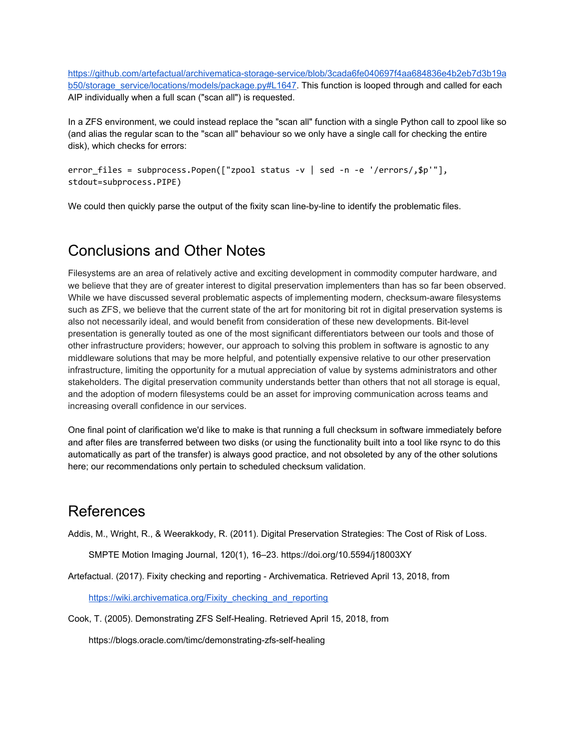[https://github.com/artefactual/archivematica-storage-service/blob/3cada6fe040697f4aa684836e4b2eb7d3b19a](https://github.com/artefactual/archivematica-storage-service/blob/3cada6fe040697f4aa684836e4b2eb7d3b19ab50/storage_service/locations/models/package.py#L1647) [b50/storage\\_service/locations/models/package.py#L1647.](https://github.com/artefactual/archivematica-storage-service/blob/3cada6fe040697f4aa684836e4b2eb7d3b19ab50/storage_service/locations/models/package.py#L1647) This function is looped through and called for each AIP individually when a full scan ("scan all") is requested.

In a ZFS environment, we could instead replace the "scan all" function with a single Python call to zpool like so (and alias the regular scan to the "scan all" behaviour so we only have a single call for checking the entire disk), which checks for errors:

```
error_files = subprocess.Popen(["zpool status -v | sed -n -e '/errors/,$p'"],
stdout=subprocess.PIPE)
```
We could then quickly parse the output of the fixity scan line-by-line to identify the problematic files.

#### Conclusions and Other Notes

Filesystems are an area of relatively active and exciting development in commodity computer hardware, and we believe that they are of greater interest to digital preservation implementers than has so far been observed. While we have discussed several problematic aspects of implementing modern, checksum-aware filesystems such as ZFS, we believe that the current state of the art for monitoring bit rot in digital preservation systems is also not necessarily ideal, and would benefit from consideration of these new developments. Bit-level presentation is generally touted as one of the most significant differentiators between our tools and those of other infrastructure providers; however, our approach to solving this problem in software is agnostic to any middleware solutions that may be more helpful, and potentially expensive relative to our other preservation infrastructure, limiting the opportunity for a mutual appreciation of value by systems administrators and other stakeholders. The digital preservation community understands better than others that not all storage is equal, and the adoption of modern filesystems could be an asset for improving communication across teams and increasing overall confidence in our services.

One final point of clarification we'd like to make is that running a full checksum in software immediately before and after files are transferred between two disks (or using the functionality built into a tool like rsync to do this automatically as part of the transfer) is always good practice, and not obsoleted by any of the other solutions here; our recommendations only pertain to scheduled checksum validation.

#### References

Addis, M., Wright, R., & Weerakkody, R. (2011). Digital Preservation Strategies: The Cost of Risk of Loss.

SMPTE Motion Imaging Journal, 120(1), 16–23. https://doi.org/10.5594/j18003XY

Artefactual. (2017). Fixity checking and reporting - Archivematica. Retrieved April 13, 2018, from

[https://wiki.archivematica.org/Fixity\\_checking\\_and\\_reporting](https://wiki.archivematica.org/Fixity_checking_and_reporting)

Cook, T. (2005). Demonstrating ZFS Self-Healing. Retrieved April 15, 2018, from

https://blogs.oracle.com/timc/demonstrating-zfs-self-healing